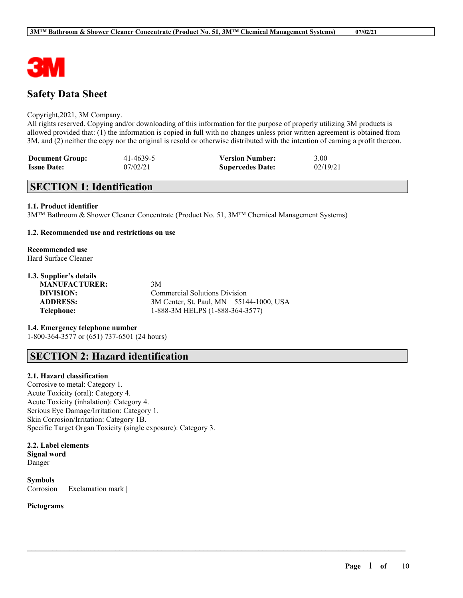

# **Safety Data Sheet**

#### Copyright,2021, 3M Company.

All rights reserved. Copying and/or downloading of this information for the purpose of properly utilizing 3M products is allowed provided that: (1) the information is copied in full with no changes unless prior written agreement is obtained from 3M, and (2) neither the copy nor the original is resold or otherwise distributed with the intention of earning a profit thereon.

| <b>Document Group:</b> | 41-4639-5 | <b>Version Number:</b>  | 3.00     |
|------------------------|-----------|-------------------------|----------|
| <b>Issue Date:</b>     | 07/02/21  | <b>Supercedes Date:</b> | 02/19/21 |

## **SECTION 1: Identification**

### **1.1. Product identifier**

3M™ Bathroom & Shower Cleaner Concentrate (Product No. 51, 3M™ Chemical Management Systems)

### **1.2. Recommended use and restrictions on use**

#### **Recommended use** Hard Surface Cleaner

## **1.3. Supplier's details**

**MANUFACTURER:** 3M

**DIVISION:** Commercial Solutions Division **ADDRESS:** 3M Center, St. Paul, MN 55144-1000, USA **Telephone:** 1-888-3M HELPS (1-888-364-3577)

 $\mathcal{L}_\mathcal{L} = \mathcal{L}_\mathcal{L} = \mathcal{L}_\mathcal{L} = \mathcal{L}_\mathcal{L} = \mathcal{L}_\mathcal{L} = \mathcal{L}_\mathcal{L} = \mathcal{L}_\mathcal{L} = \mathcal{L}_\mathcal{L} = \mathcal{L}_\mathcal{L} = \mathcal{L}_\mathcal{L} = \mathcal{L}_\mathcal{L} = \mathcal{L}_\mathcal{L} = \mathcal{L}_\mathcal{L} = \mathcal{L}_\mathcal{L} = \mathcal{L}_\mathcal{L} = \mathcal{L}_\mathcal{L} = \mathcal{L}_\mathcal{L}$ 

# **1.4. Emergency telephone number**

1-800-364-3577 or (651) 737-6501 (24 hours)

# **SECTION 2: Hazard identification**

#### **2.1. Hazard classification**

Corrosive to metal: Category 1. Acute Toxicity (oral): Category 4. Acute Toxicity (inhalation): Category 4. Serious Eye Damage/Irritation: Category 1. Skin Corrosion/Irritation: Category 1B. Specific Target Organ Toxicity (single exposure): Category 3.

### **2.2. Label elements Signal word** Danger

**Symbols** Corrosion | Exclamation mark |

#### **Pictograms**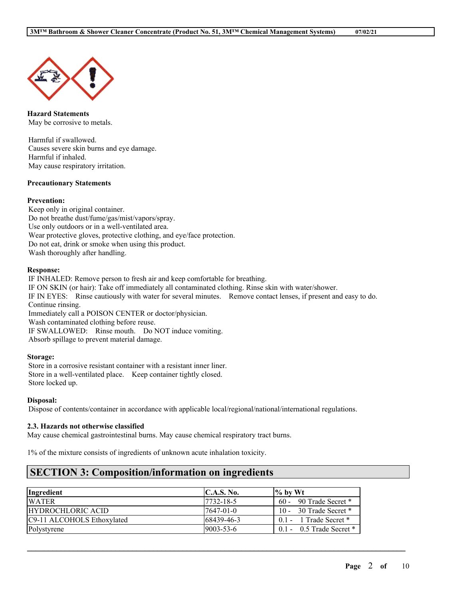

**Hazard Statements** May be corrosive to metals.

Harmful if swallowed. Causes severe skin burns and eye damage. Harmful if inhaled. May cause respiratory irritation.

#### **Precautionary Statements**

#### **Prevention:**

Keep only in original container. Do not breathe dust/fume/gas/mist/vapors/spray. Use only outdoors or in a well-ventilated area. Wear protective gloves, protective clothing, and eye/face protection. Do not eat, drink or smoke when using this product. Wash thoroughly after handling.

#### **Response:**

IF INHALED: Remove person to fresh air and keep comfortable for breathing. IF ON SKIN (or hair): Take off immediately all contaminated clothing. Rinse skin with water/shower. IF IN EYES: Rinse cautiously with water for several minutes. Remove contact lenses, if present and easy to do. Continue rinsing. Immediately call a POISON CENTER or doctor/physician. Wash contaminated clothing before reuse. IF SWALLOWED: Rinse mouth. Do NOT induce vomiting. Absorb spillage to prevent material damage.

### **Storage:**

Store in a corrosive resistant container with a resistant inner liner. Store in a well-ventilated place. Keep container tightly closed. Store locked up.

#### **Disposal:**

Dispose of contents/container in accordance with applicable local/regional/national/international regulations.

#### **2.3. Hazards not otherwise classified**

May cause chemical gastrointestinal burns. May cause chemical respiratory tract burns.

1% of the mixture consists of ingredients of unknown acute inhalation toxicity.

## **SECTION 3: Composition/information on ingredients**

| <i>Ingredient</i>          | $\mathbf{C}.\mathbf{A}.\mathbf{S}.\mathbf{No}.$ | $\frac{1}{6}$ by Wt          |
|----------------------------|-------------------------------------------------|------------------------------|
| <b>WATER</b>               | 17732-18-5                                      | $60 - 90$ Trade Secret $*$   |
| HYDROCHLORIC ACID          | 17647-01-0                                      | 10 - 30 Trade Secret $*$     |
| C9-11 ALCOHOLS Ethoxylated | 168439-46-3                                     | $0.1 - 1$ Trade Secret $*$   |
| Polystyrene                | $19003 - 53 - 6$                                | $0.1 - 0.5$ Trade Secret $*$ |

 $\mathcal{L}_\mathcal{L} = \mathcal{L}_\mathcal{L} = \mathcal{L}_\mathcal{L} = \mathcal{L}_\mathcal{L} = \mathcal{L}_\mathcal{L} = \mathcal{L}_\mathcal{L} = \mathcal{L}_\mathcal{L} = \mathcal{L}_\mathcal{L} = \mathcal{L}_\mathcal{L} = \mathcal{L}_\mathcal{L} = \mathcal{L}_\mathcal{L} = \mathcal{L}_\mathcal{L} = \mathcal{L}_\mathcal{L} = \mathcal{L}_\mathcal{L} = \mathcal{L}_\mathcal{L} = \mathcal{L}_\mathcal{L} = \mathcal{L}_\mathcal{L}$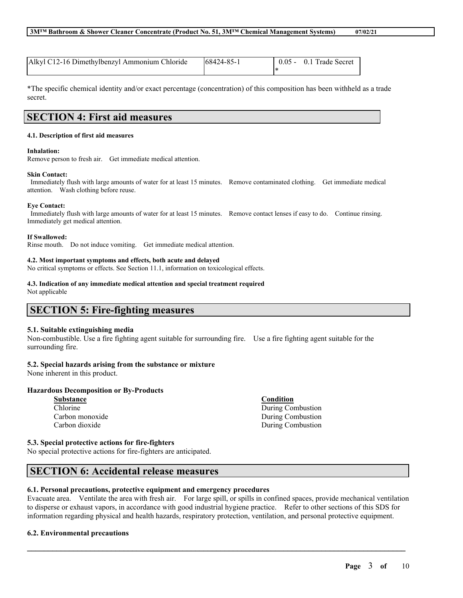| Alkyl C12-16 Dimethylbenzyl Ammonium Chloride | $168424 - 85 - 1$ | $0.05 - 0.1$ Trade Secret |
|-----------------------------------------------|-------------------|---------------------------|
|                                               |                   |                           |

\*The specific chemical identity and/or exact percentage (concentration) of this composition has been withheld as a trade secret.

# **SECTION 4: First aid measures**

#### **4.1. Description of first aid measures**

#### **Inhalation:**

Remove person to fresh air. Get immediate medical attention.

#### **Skin Contact:**

Immediately flush with large amounts of water for at least 15 minutes. Remove contaminated clothing. Get immediate medical attention. Wash clothing before reuse.

#### **Eye Contact:**

Immediately flush with large amounts of water for at least 15 minutes. Remove contact lenses if easy to do. Continue rinsing. Immediately get medical attention.

**If Swallowed:**

Rinse mouth. Do not induce vomiting. Get immediate medical attention.

#### **4.2. Most important symptoms and effects, both acute and delayed**

No critical symptoms or effects. See Section 11.1, information on toxicological effects.

## **4.3. Indication of any immediate medical attention and special treatment required**

Not applicable

# **SECTION 5: Fire-fighting measures**

#### **5.1. Suitable extinguishing media**

Non-combustible. Use a fire fighting agent suitable for surrounding fire. Use a fire fighting agent suitable for the surrounding fire.

## **5.2. Special hazards arising from the substance or mixture**

None inherent in this product.

## **Hazardous Decomposition or By-Products**

| Substance       |
|-----------------|
| Chlorine        |
| Carbon monoxide |
| Carbon dioxide  |

**5.3. Special protective actions for fire-fighters**

No special protective actions for fire-fighters are anticipated.

## **SECTION 6: Accidental release measures**

## **6.1. Personal precautions, protective equipment and emergency procedures**

Evacuate area. Ventilate the area with fresh air. For large spill, or spills in confined spaces, provide mechanical ventilation to disperse or exhaust vapors, in accordance with good industrial hygiene practice. Refer to other sections of this SDS for information regarding physical and health hazards, respiratory protection, ventilation, and personal protective equipment.

 $\mathcal{L}_\mathcal{L} = \mathcal{L}_\mathcal{L} = \mathcal{L}_\mathcal{L} = \mathcal{L}_\mathcal{L} = \mathcal{L}_\mathcal{L} = \mathcal{L}_\mathcal{L} = \mathcal{L}_\mathcal{L} = \mathcal{L}_\mathcal{L} = \mathcal{L}_\mathcal{L} = \mathcal{L}_\mathcal{L} = \mathcal{L}_\mathcal{L} = \mathcal{L}_\mathcal{L} = \mathcal{L}_\mathcal{L} = \mathcal{L}_\mathcal{L} = \mathcal{L}_\mathcal{L} = \mathcal{L}_\mathcal{L} = \mathcal{L}_\mathcal{L}$ 

## **6.2. Environmental precautions**

**Condition** During Combustion During Combustion During Combustion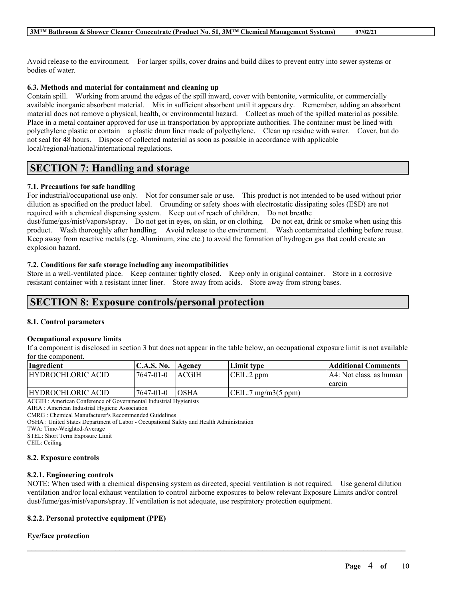Avoid release to the environment. For larger spills, cover drains and build dikes to prevent entry into sewer systems or bodies of water.

### **6.3. Methods and material for containment and cleaning up**

Contain spill. Working from around the edges of the spill inward, cover with bentonite, vermiculite, or commercially available inorganic absorbent material. Mix in sufficient absorbent until it appears dry. Remember, adding an absorbent material does not remove a physical, health, or environmental hazard. Collect as much of the spilled material as possible. Place in a metal container approved for use in transportation by appropriate authorities. The container must be lined with polyethylene plastic or contain a plastic drum liner made of polyethylene. Clean up residue with water. Cover, but do not seal for 48 hours. Dispose of collected material as soon as possible in accordance with applicable local/regional/national/international regulations.

# **SECTION 7: Handling and storage**

## **7.1. Precautions for safe handling**

For industrial/occupational use only. Not for consumer sale or use. This product is not intended to be used without prior dilution as specified on the product label. Grounding or safety shoes with electrostatic dissipating soles (ESD) are not required with a chemical dispensing system. Keep out of reach of children. Do not breathe dust/fume/gas/mist/vapors/spray. Do not get in eyes, on skin, or on clothing. Do not eat, drink or smoke when using this product. Wash thoroughly after handling. Avoid release to the environment. Wash contaminated clothing before reuse. Keep away from reactive metals (eg. Aluminum, zinc etc.) to avoid the formation of hydrogen gas that could create an explosion hazard.

#### **7.2. Conditions for safe storage including any incompatibilities**

Store in a well-ventilated place. Keep container tightly closed. Keep only in original container. Store in a corrosive resistant container with a resistant inner liner. Store away from acids. Store away from strong bases.

# **SECTION 8: Exposure controls/personal protection**

#### **8.1. Control parameters**

#### **Occupational exposure limits**

If a component is disclosed in section 3 but does not appear in the table below, an occupational exposure limit is not available for the component.

| Ingredient                                                 | C.A.S. No.   Agency |               | Limit type                    | Additional Comments      |
|------------------------------------------------------------|---------------------|---------------|-------------------------------|--------------------------|
| HYDROCHLORIC ACID                                          | 7647-01-0           | <b>LACGIH</b> | CEIL:2 ppm                    | IA4: Not class. as human |
|                                                            |                     |               |                               | I carcin                 |
| HYDROCHLORIC ACID                                          | 7647-01-0           | <b>IOSHA</b>  | $\text{[CEIL:7 mg/m3(5 ppm)}$ |                          |
| $\sim$ $\sim$ $\sim$ $\sim$ $\sim$ $\sim$<br>$\sim$ $\sim$ |                     |               |                               |                          |

ACGIH : American Conference of Governmental Industrial Hygienists

AIHA : American Industrial Hygiene Association

CMRG : Chemical Manufacturer's Recommended Guidelines

OSHA : United States Department of Labor - Occupational Safety and Health Administration

TWA: Time-Weighted-Average

STEL: Short Term Exposure Limit

CEIL: Ceiling

#### **8.2. Exposure controls**

#### **8.2.1. Engineering controls**

NOTE: When used with a chemical dispensing system as directed, special ventilation is not required. Use general dilution ventilation and/or local exhaust ventilation to control airborne exposures to below relevant Exposure Limits and/or control dust/fume/gas/mist/vapors/spray. If ventilation is not adequate, use respiratory protection equipment.

 $\mathcal{L}_\mathcal{L} = \mathcal{L}_\mathcal{L} = \mathcal{L}_\mathcal{L} = \mathcal{L}_\mathcal{L} = \mathcal{L}_\mathcal{L} = \mathcal{L}_\mathcal{L} = \mathcal{L}_\mathcal{L} = \mathcal{L}_\mathcal{L} = \mathcal{L}_\mathcal{L} = \mathcal{L}_\mathcal{L} = \mathcal{L}_\mathcal{L} = \mathcal{L}_\mathcal{L} = \mathcal{L}_\mathcal{L} = \mathcal{L}_\mathcal{L} = \mathcal{L}_\mathcal{L} = \mathcal{L}_\mathcal{L} = \mathcal{L}_\mathcal{L}$ 

### **8.2.2. Personal protective equipment (PPE)**

## **Eye/face protection**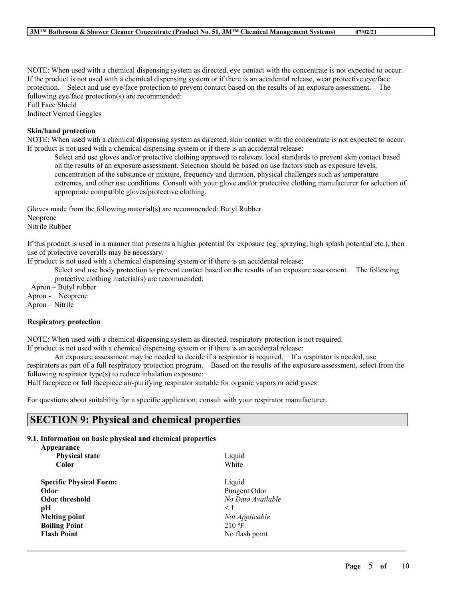NOTE: When used with a chemical dispensing system as directed, eye contact with the concentrate is not expected to occur. If the product is not used with a chemical dispensing system or if there is an accidental release, wear protective eye/face protection. Select and use eye/face protection to prevent contact based on the results of an exposure assessment. The following eye/face protection(s) are recommended:

Full Face Shield Indirect Vented Goggles

### **Skin/hand protection**

NOTE: When used with a chemical dispensing system as directed, skin contact with the concentrate is not expected to occur. If product is not used with a chemical dispensing system or if there is an accidental release:

Select and use gloves and/or protective clothing approved to relevant local standards to prevent skin contact based on the results of an exposure assessment. Selection should be based on use factors such as exposure levels, concentration of the substance or mixture, frequency and duration, physical challenges such as temperature extremes, and other use conditions. Consult with your glove and/or protective clothing manufacturer for selection of appropriate compatible gloves/protective clothing.

Gloves made from the following material(s) are recommended: Butyl Rubber Neoprene

Nitrile Rubber

If this product is used in a manner that presents a higher potential for exposure (eg. spraying, high splash potential etc.), then use of protective coveralls may be necessary.

If product is not used with a chemical dispensing system or if there is an accidental release:

Select and use body protection to prevent contact based on the results of an exposure assessment. The following protective clothing material(s) are recommended:

Apron – Butyl rubber Apron - Neoprene Apron – Nitrile

**Respiratory protection**

NOTE: When used with a chemical dispensing system as directed, respiratory protection is not required.

If product is not used with a chemical dispensing system or if there is an accidental release:

An exposure assessment may be needed to decide if a respirator is required. If a respirator is needed, use respirators as part of a full respiratory protection program. Based on the results of the exposure assessment, select from the following respirator type(s) to reduce inhalation exposure:

 $\mathcal{L}_\mathcal{L} = \mathcal{L}_\mathcal{L} = \mathcal{L}_\mathcal{L} = \mathcal{L}_\mathcal{L} = \mathcal{L}_\mathcal{L} = \mathcal{L}_\mathcal{L} = \mathcal{L}_\mathcal{L} = \mathcal{L}_\mathcal{L} = \mathcal{L}_\mathcal{L} = \mathcal{L}_\mathcal{L} = \mathcal{L}_\mathcal{L} = \mathcal{L}_\mathcal{L} = \mathcal{L}_\mathcal{L} = \mathcal{L}_\mathcal{L} = \mathcal{L}_\mathcal{L} = \mathcal{L}_\mathcal{L} = \mathcal{L}_\mathcal{L}$ 

Half facepiece or full facepiece air-purifying respirator suitable for organic vapors or acid gases

For questions about suitability for a specific application, consult with your respirator manufacturer.

# **SECTION 9: Physical and chemical properties**

## **9.1. Information on basic physical and chemical properties**

| Appearance                     |                   |
|--------------------------------|-------------------|
| <b>Physical state</b>          | Liquid            |
| Color                          | White             |
| <b>Specific Physical Form:</b> | Liquid            |
| Odor                           | Pungent Odor      |
| Odor threshold                 | No Data Available |
| pН                             | $\leq 1$          |
| <b>Melting point</b>           | Not Applicable    |
| <b>Boiling Point</b>           | $210 \text{°F}$   |
| <b>Flash Point</b>             | No flash point    |
|                                |                   |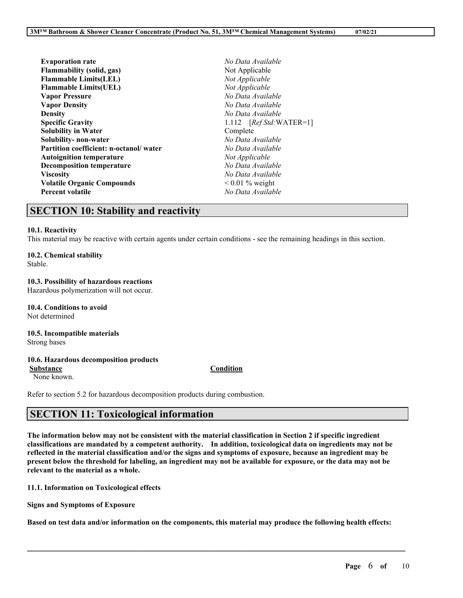| <b>Evaporation rate</b>                | No Data Available        |
|----------------------------------------|--------------------------|
| <b>Flammability (solid, gas)</b>       | Not Applicable           |
| <b>Flammable Limits(LEL)</b>           | Not Applicable           |
| <b>Flammable Limits(UEL)</b>           | Not Applicable           |
| <b>Vapor Pressure</b>                  | No Data Available        |
| <b>Vapor Density</b>                   | No Data Available        |
| Density                                | No Data Available        |
| <b>Specific Gravity</b>                | 1.112 $[RefStd:WATER=1]$ |
| Solubility in Water                    | Complete                 |
| Solubility- non-water                  | No Data Available        |
| Partition coefficient: n-octanol/water | No Data Available        |
| <b>Autoignition temperature</b>        | Not Applicable           |
| <b>Decomposition temperature</b>       | No Data Available        |
| Viscosity                              | No Data Available        |
| <b>Volatile Organic Compounds</b>      | $0.01\%$ weight          |
| Percent volatile                       | No Data Available        |
|                                        |                          |

## **SECTION 10: Stability and reactivity**

#### **10.1. Reactivity**

This material may be reactive with certain agents under certain conditions - see the remaining headings in this section.

#### **10.2. Chemical stability**

Stable.

#### **10.3. Possibility of hazardous reactions**

Hazardous polymerization will not occur.

**10.4. Conditions to avoid** Not determined

# **10.5. Incompatible materials**

Strong bases

#### **10.6. Hazardous decomposition products**

**Substance Condition**

None known.

Refer to section 5.2 for hazardous decomposition products during combustion.

# **SECTION 11: Toxicological information**

The information below may not be consistent with the material classification in Section 2 if specific ingredient **classifications are mandated by a competent authority. In addition, toxicological data on ingredients may not be** reflected in the material classification and/or the signs and symptoms of exposure, because an ingredient may be present below the threshold for labeling, an ingredient may not be available for exposure, or the data may not be **relevant to the material as a whole.**

**11.1. Information on Toxicological effects**

**Signs and Symptoms of Exposure**

Based on test data and/or information on the components, this material may produce the following health effects:

 $\mathcal{L}_\mathcal{L} = \mathcal{L}_\mathcal{L} = \mathcal{L}_\mathcal{L} = \mathcal{L}_\mathcal{L} = \mathcal{L}_\mathcal{L} = \mathcal{L}_\mathcal{L} = \mathcal{L}_\mathcal{L} = \mathcal{L}_\mathcal{L} = \mathcal{L}_\mathcal{L} = \mathcal{L}_\mathcal{L} = \mathcal{L}_\mathcal{L} = \mathcal{L}_\mathcal{L} = \mathcal{L}_\mathcal{L} = \mathcal{L}_\mathcal{L} = \mathcal{L}_\mathcal{L} = \mathcal{L}_\mathcal{L} = \mathcal{L}_\mathcal{L}$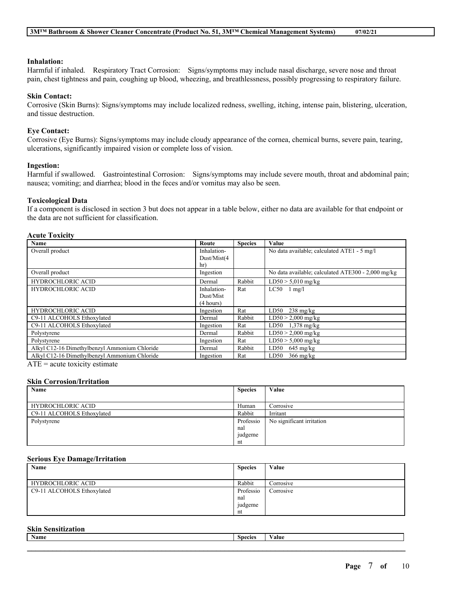### **Inhalation:**

Harmful if inhaled. Respiratory Tract Corrosion: Signs/symptoms may include nasal discharge, severe nose and throat pain, chest tightness and pain, coughing up blood, wheezing, and breathlessness, possibly progressing to respiratory failure.

#### **Skin Contact:**

Corrosive (Skin Burns): Signs/symptoms may include localized redness, swelling, itching, intense pain, blistering, ulceration, and tissue destruction.

### **Eye Contact:**

Corrosive (Eye Burns): Signs/symptoms may include cloudy appearance of the cornea, chemical burns, severe pain, tearing, ulcerations, significantly impaired vision or complete loss of vision.

#### **Ingestion:**

Harmful if swallowed. Gastrointestinal Corrosion: Signs/symptoms may include severe mouth, throat and abdominal pain; nausea; vomiting; and diarrhea; blood in the feces and/or vomitus may also be seen.

#### **Toxicological Data**

If a component is disclosed in section 3 but does not appear in a table below, either no data are available for that endpoint or the data are not sufficient for classification.

#### **Acute Toxicity**

| Route       | <b>Species</b> | Value                                              |
|-------------|----------------|----------------------------------------------------|
| Inhalation- |                | No data available; calculated ATE1 - 5 mg/l        |
| Dust/Mist(4 |                |                                                    |
| hr)         |                |                                                    |
| Ingestion   |                | No data available; calculated ATE300 - 2,000 mg/kg |
| Dermal      | Rabbit         | $LD50 > 5,010$ mg/kg                               |
| Inhalation- | Rat            | $LC50$ 1 mg/l                                      |
| Dust/Mist   |                |                                                    |
| (4 hours)   |                |                                                    |
| Ingestion   | Rat            | LD50<br>$238 \text{ mg/kg}$                        |
| Dermal      | Rabbit         | $LD50 > 2,000$ mg/kg                               |
| Ingestion   | Rat            | LD50 $1,378 \text{ mg/kg}$                         |
| Dermal      | Rabbit         | $LD50 > 2,000$ mg/kg                               |
| Ingestion   | Rat            | $LD50 > 5,000$ mg/kg                               |
| Dermal      | Rabbit         | LD50<br>$645 \text{ mg/kg}$                        |
| Ingestion   | Rat            | LD50<br>$366 \text{ mg/kg}$                        |
|             |                |                                                    |

 $ATE = acute$  toxicity estimate

#### **Skin Corrosion/Irritation**

| Name                       | <b>Species</b> | Value                     |
|----------------------------|----------------|---------------------------|
|                            |                |                           |
| <b>HYDROCHLORIC ACID</b>   | Human          | Corrosive                 |
| C9-11 ALCOHOLS Ethoxylated | Rabbit         | Irritant                  |
| Polystyrene                | Professio      | No significant irritation |
|                            | nal            |                           |
|                            | judgeme        |                           |
|                            | nt             |                           |

#### **Serious Eye Damage/Irritation**

| Name                       | <b>Species</b> | Value     |
|----------------------------|----------------|-----------|
|                            |                |           |
| <b>HYDROCHLORIC ACID</b>   | Rabbit         | Corrosive |
| C9-11 ALCOHOLS Ethoxylated | Professio      | Corrosive |
|                            | nal            |           |
|                            | judgeme        |           |
|                            | nt             |           |

#### **Skin Sensitization**

| $\sim$<br>Name | $\sim$<br><b>Species</b> | 'alue |
|----------------|--------------------------|-------|
|                |                          |       |
|                |                          |       |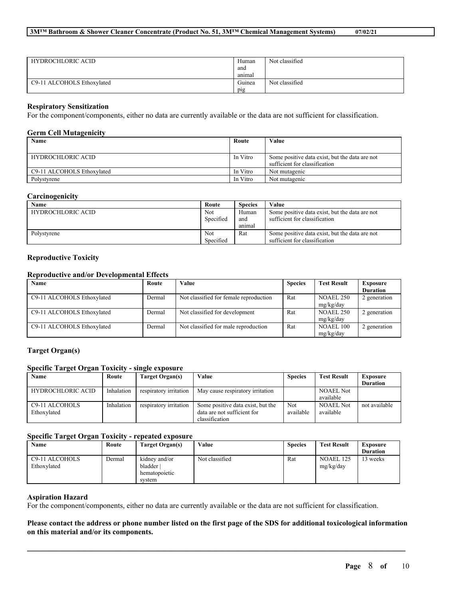| <b>HYDROCHLORIC ACID</b>   | Human<br>and | Not classified |
|----------------------------|--------------|----------------|
|                            | animal       |                |
| C9-11 ALCOHOLS Ethoxylated | Guinea       | Not classified |
|                            | pig          |                |

#### **Respiratory Sensitization**

For the component/components, either no data are currently available or the data are not sufficient for classification.

#### **Germ Cell Mutagenicity**

| Name                       | Route    | Value                                          |
|----------------------------|----------|------------------------------------------------|
|                            |          |                                                |
| <b>HYDROCHLORIC ACID</b>   | In Vitro | Some positive data exist, but the data are not |
|                            |          | sufficient for classification                  |
| C9-11 ALCOHOLS Ethoxylated | In Vitro | Not mutagenic                                  |
| Polystyrene                | In Vitro | Not mutagenic                                  |

### **Carcinogenicity**

| Name                     | Route     | <b>Species</b> | Value                                          |
|--------------------------|-----------|----------------|------------------------------------------------|
| <b>HYDROCHLORIC ACID</b> | Not       | Human          | Some positive data exist, but the data are not |
|                          | Specified | and            | sufficient for classification                  |
|                          |           | animal         |                                                |
| Polystyrene              | Not       | Rat            | Some positive data exist, but the data are not |
|                          | Specified |                | sufficient for classification                  |

## **Reproductive Toxicity**

## **Reproductive and/or Developmental Effects**

| Name                       | Route  | Value                                  | <b>Species</b> | <b>Test Result</b>            | <b>Exposure</b><br><b>Duration</b> |
|----------------------------|--------|----------------------------------------|----------------|-------------------------------|------------------------------------|
| C9-11 ALCOHOLS Ethoxylated | Dermal | Not classified for female reproduction | Rat            | NOAEL 250<br>mg/kg/day        | 2 generation                       |
| C9-11 ALCOHOLS Ethoxylated | Dermal | Not classified for development         | Rat            | <b>NOAEL 250</b><br>mg/kg/day | 2 generation                       |
| C9-11 ALCOHOLS Ethoxylated | Dermal | Not classified for male reproduction   | Rat            | <b>NOAEL 100</b><br>mg/kg/day | 2 generation                       |

### **Target Organ(s)**

#### **Specific Target Organ Toxicity - single exposure**

| Name                        | Route      | Target Organ(s)        | Value                             | <b>Species</b> | <b>Test Result</b> | <b>Exposure</b> |
|-----------------------------|------------|------------------------|-----------------------------------|----------------|--------------------|-----------------|
|                             |            |                        |                                   |                |                    | <b>Duration</b> |
| <b>HYDROCHLORIC ACID</b>    | Inhalation | respiratory irritation | May cause respiratory irritation  |                | <b>NOAEL Not</b>   |                 |
|                             |            |                        |                                   |                | available          |                 |
| C <sub>9</sub> -11 ALCOHOLS | Inhalation | respiratory irritation | Some positive data exist, but the | Not            | <b>NOAEL Not</b>   | not available   |
| Ethoxylated                 |            |                        | data are not sufficient for       | available      | available          |                 |
|                             |            |                        | classification                    |                |                    |                 |

### **Specific Target Organ Toxicity - repeated exposure**

| Name                          | Route  | Target Organ(s)                                     | Value          | <b>Species</b> | <b>Test Result</b>     | Exposure<br><b>Duration</b> |
|-------------------------------|--------|-----------------------------------------------------|----------------|----------------|------------------------|-----------------------------|
| C9-11 ALCOHOLS<br>Ethoxylated | Dermal | kidney and/or<br>bladder<br>hematopoietic<br>system | Not classified | Rat            | NOAEL 125<br>mg/kg/day | weeks                       |

#### **Aspiration Hazard**

For the component/components, either no data are currently available or the data are not sufficient for classification.

## Please contact the address or phone number listed on the first page of the SDS for additional toxicological information **on this material and/or its components.**

 $\mathcal{L}_\mathcal{L} = \mathcal{L}_\mathcal{L} = \mathcal{L}_\mathcal{L} = \mathcal{L}_\mathcal{L} = \mathcal{L}_\mathcal{L} = \mathcal{L}_\mathcal{L} = \mathcal{L}_\mathcal{L} = \mathcal{L}_\mathcal{L} = \mathcal{L}_\mathcal{L} = \mathcal{L}_\mathcal{L} = \mathcal{L}_\mathcal{L} = \mathcal{L}_\mathcal{L} = \mathcal{L}_\mathcal{L} = \mathcal{L}_\mathcal{L} = \mathcal{L}_\mathcal{L} = \mathcal{L}_\mathcal{L} = \mathcal{L}_\mathcal{L}$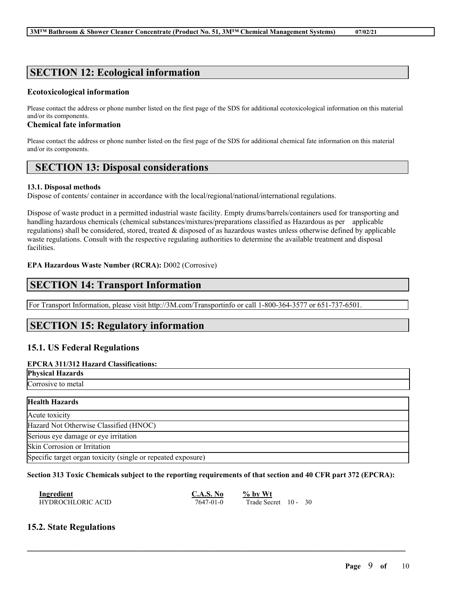# **SECTION 12: Ecological information**

## **Ecotoxicological information**

Please contact the address or phone number listed on the first page of the SDS for additional ecotoxicological information on this material and/or its components.

## **Chemical fate information**

Please contact the address or phone number listed on the first page of the SDS for additional chemical fate information on this material and/or its components.

# **SECTION 13: Disposal considerations**

## **13.1. Disposal methods**

Dispose of contents/ container in accordance with the local/regional/national/international regulations.

Dispose of waste product in a permitted industrial waste facility. Empty drums/barrels/containers used for transporting and handling hazardous chemicals (chemical substances/mixtures/preparations classified as Hazardous as per applicable regulations) shall be considered, stored, treated & disposed of as hazardous wastes unless otherwise defined by applicable waste regulations. Consult with the respective regulating authorities to determine the available treatment and disposal facilities.

## **EPA Hazardous Waste Number (RCRA):** D002 (Corrosive)

# **SECTION 14: Transport Information**

For Transport Information, please visit http://3M.com/Transportinfo or call 1-800-364-3577 or 651-737-6501.

# **SECTION 15: Regulatory information**

## **15.1. US Federal Regulations**

## **EPCRA 311/312 Hazard Classifications:**

**Physical Hazards** Corrosive to metal

| <b>Health Hazards</b>                                        |
|--------------------------------------------------------------|
| Acute toxicity                                               |
| Hazard Not Otherwise Classified (HNOC)                       |
| Serious eye damage or eye irritation                         |
| Skin Corrosion or Irritation                                 |
| Specific target organ toxicity (single or repeated exposure) |

## Section 313 Toxic Chemicals subject to the reporting requirements of that section and 40 CFR part 372 (EPCRA):

 $\mathcal{L}_\mathcal{L} = \mathcal{L}_\mathcal{L} = \mathcal{L}_\mathcal{L} = \mathcal{L}_\mathcal{L} = \mathcal{L}_\mathcal{L} = \mathcal{L}_\mathcal{L} = \mathcal{L}_\mathcal{L} = \mathcal{L}_\mathcal{L} = \mathcal{L}_\mathcal{L} = \mathcal{L}_\mathcal{L} = \mathcal{L}_\mathcal{L} = \mathcal{L}_\mathcal{L} = \mathcal{L}_\mathcal{L} = \mathcal{L}_\mathcal{L} = \mathcal{L}_\mathcal{L} = \mathcal{L}_\mathcal{L} = \mathcal{L}_\mathcal{L}$ 

| Ingredient        | C.A.S. No | $\%$ by Wt           |  |  |
|-------------------|-----------|----------------------|--|--|
| HYDROCHLORIC ACID | 7647-01-0 | Trade Secret 10 - 30 |  |  |

## **15.2. State Regulations**